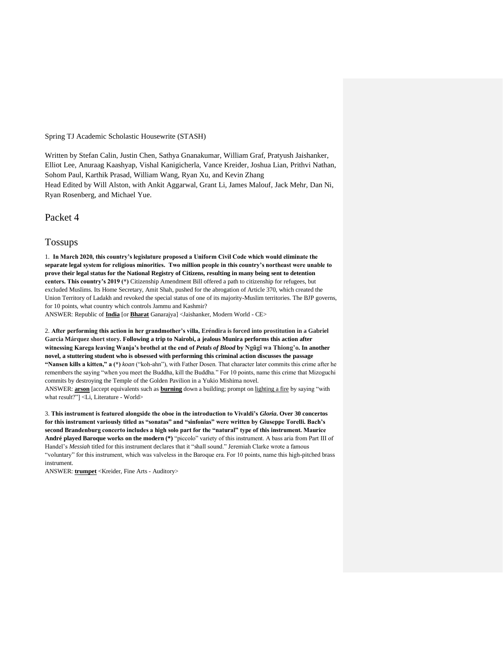Spring TJ Academic Scholastic Housewrite (STASH)

Written by Stefan Calin, Justin Chen, Sathya Gnanakumar, William Graf, Pratyush Jaishanker, Elliot Lee, Anuraag Kaashyap, Vishal Kanigicherla, Vance Kreider, Joshua Lian, Prithvi Nathan, Sohom Paul, Karthik Prasad, William Wang, Ryan Xu, and Kevin Zhang Head Edited by Will Alston, with Ankit Aggarwal, Grant Li, James Malouf, Jack Mehr, Dan Ni, Ryan Rosenberg, and Michael Yue.

Packet 4

## Tossups

1. **In March 2020, this country's legislature proposed a Uniform Civil Code which would eliminate the separate legal system for religious minorities. Two million people in this country's northeast were unable to prove their legal status for the National Registry of Citizens, resulting in many being sent to detention centers. This country's 2019 (\*)** Citizenship Amendment Bill offered a path to citizenship for refugees, but excluded Muslims. Its Home Secretary, Amit Shah, pushed for the abrogation of Article 370, which created the Union Territory of Ladakh and revoked the special status of one of its majority-Muslim territories. The BJP governs, for 10 points, what country which controls Jammu and Kashmir?

ANSWER: Republic of **India** [or **Bharat** Ganarajya] <Jaishanker, Modern World - CE>

2. **After performing this action in her grandmother's villa, Eréndira is forced into prostitution in a Gabriel Garcia Márquez short story. Following a trip to Nairobi, a jealous Munira performs this action after witnessing Karega leaving Wanja's brothel at the end of** *Petals of Blood* **by Ngũgĩ wa Thiong'o. In another novel, a stuttering student who is obsessed with performing this criminal action discusses the passage "Nansen kills a kitten," a (\*)** *koan* ("koh-ahn"), with Father Dosen. That character later commits this crime after he remembers the saying "when you meet the Buddha, kill the Buddha." For 10 points, name this crime that Mizoguchi commits by destroying the Temple of the Golden Pavilion in a Yukio Mishima novel. ANSWER: **arson** [accept equivalents such as **burning** down a building; prompt on lighting a fire by saying "with what result?"] <Li, Literature - World>

3. **This instrument is featured alongside the oboe in the introduction to Vivaldi's** *Gloria***. Over 30 concertos for this instrument variously titled as "sonatas" and "sinfonias" were written by Giuseppe Torelli. Bach's second Brandenburg concerto includes a high solo part for the "natural" type of this instrument. Maurice André played Baroque works on the modern (\*)** "piccolo" variety of this instrument. A bass aria from Part III of Handel's *Messiah* titled for this instrument declares that it "shall sound." Jeremiah Clarke wrote a famous "voluntary" for this instrument, which was valveless in the Baroque era. For 10 points, name this high-pitched brass instrument.

ANSWER: **trumpet** <Kreider, Fine Arts - Auditory>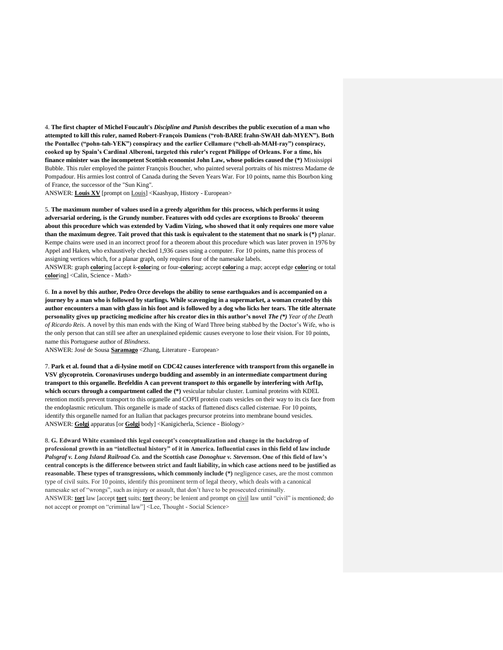4. **The first chapter of Michel Foucault's** *Discipline and Punish* **describes the public execution of a man who attempted to kill this ruler, named Robert-François Damiens ("roh-BARE frahn-SWAH dah-MYEN"). Both the Pontallec ("pohn-tah-YEK") conspiracy and the earlier Cellamare ("chell-ah-MAH-ray") conspiracy, cooked up by Spain's Cardinal Alberoni, targeted this ruler's regent Philippe of Orleans. For a time, his finance minister was the incompetent Scottish economist John Law, whose policies caused the (\*)** Mississippi Bubble. This ruler employed the painter François Boucher, who painted several portraits of his mistress Madame de Pompadour. His armies lost control of Canada during the Seven Years War. For 10 points, name this Bourbon king of France, the successor of the "Sun King".

ANSWER: **Louis XV** [prompt on Louis] <Kaashyap, History - European>

5. **The maximum number of values used in a greedy algorithm for this process, which performs it using adversarial ordering, is the Grundy number. Features with odd cycles are exceptions to Brooks' theorem about this procedure which was extended by Vadim Vizing, who showed that it only requires one more value than the maximum degree. Tait proved that this task is equivalent to the statement that no snark is (\*)** planar. Kempe chains were used in an incorrect proof for a theorem about this procedure which was later proven in 1976 by Appel and Haken, who exhaustively checked 1,936 cases using a computer. For 10 points, name this process of assigning vertices which, for a planar graph, only requires four of the namesake labels.

ANSWER: graph **color**ing [accept *k*-**color**ing or four-**color**ing; accept **color**ing a map; accept edge **color**ing or total **color**ing] <Calin, Science - Math>

6. **In a novel by this author, Pedro Orce develops the ability to sense earthquakes and is accompanied on a journey by a man who is followed by starlings. While scavenging in a supermarket, a woman created by this author encounters a man with glass in his foot and is followed by a dog who licks her tears. The title alternate personality gives up practicing medicine after his creator dies in this author's novel** *The (\*) Year of the Death of Ricardo Reis*. A novel by this man ends with the King of Ward Three being stabbed by the Doctor's Wife, who is the only person that can still see after an unexplained epidemic causes everyone to lose their vision. For 10 points, name this Portuguese author of *Blindness*.

ANSWER: José de Sousa **Saramago** <Zhang, Literature - European>

7. **Park et al. found that a di-lysine motif on CDC42 causes interference with transport from this organelle in VSV glycoprotein. Coronaviruses undergo budding and assembly in an intermediate compartment during transport to this organelle. Brefeldin A can prevent transport** *to* **this organelle by interfering with Arf1p, which occurs through a compartment called the (\*)** vesicular tubular cluster. Luminal proteins with KDEL retention motifs prevent transport to this organelle and COPII protein coats vesicles on their way to its cis face from the endoplasmic reticulum. This organelle is made of stacks of flattened discs called cisternae. For 10 points, identify this organelle named for an Italian that packages precursor proteins into membrane bound vesicles. ANSWER: **Golgi** apparatus [or **Golgi** body] <Kanigicherla, Science - Biology>

8. **G. Edward White examined this legal concept's conceptualization and change in the backdrop of professional growth in an "intellectual history" of it in America. Influential cases in this field of law include**  *Palsgraf v. Long Island Railroad Co.* **and the Scottish case** *Donoghue v. Stevenson***. One of this field of law's central concepts is the difference between strict and fault liability, in which case actions need to be justified as reasonable. These types of transgressions, which commonly include (\*)** negligence cases, are the most common type of civil suits. For 10 points, identify this prominent term of legal theory, which deals with a canonical namesake set of "wrongs", such as injury or assault, that don't have to be prosecuted criminally. ANSWER: **tort** law [accept **tort** suits; **tort** theory; be lenient and prompt on civil law until "civil" is mentioned; do not accept or prompt on "criminal law"] <Lee, Thought - Social Science>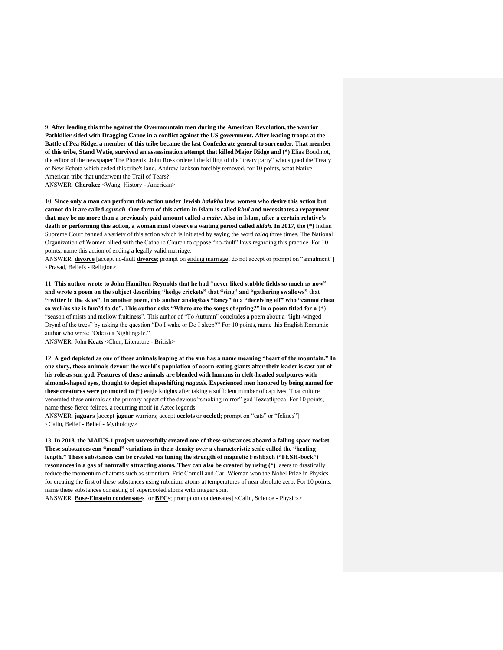9. **After leading this tribe against the Overmountain men during the American Revolution, the warrior Pathkiller sided with Dragging Canoe in a conflict against the US government. After leading troops at the Battle of Pea Ridge, a member of this tribe became the last Confederate general to surrender. That member of this tribe, Stand Watie, survived an assassination attempt that killed Major Ridge and (\*)** Elias Boudinot, the editor of the newspaper The Phoenix. John Ross ordered the killing of the "treaty party" who signed the Treaty of New Echota which ceded this tribe's land. Andrew Jackson forcibly removed, for 10 points, what Native American tribe that underwent the Trail of Tears? ANSWER: **Cherokee** <Wang, History - American>

10. **Since only a man can perform this action under Jewish** *halakha* **law, women who desire this action but cannot do it are called** *agunah***. One form of this action in Islam is called** *khul* **and necessitates a repayment that may be no more than a previously paid amount called a** *mahr***. Also in Islam, after a certain relative's death or performing this action, a woman must observe a waiting period called** *iddah***. In 2017, the (\*)** Indian Supreme Court banned a variety of this action which is initiated by saying the word *talaq* three times. The National Organization of Women allied with the Catholic Church to oppose "no-fault" laws regarding this practice. For 10 points, name this action of ending a legally valid marriage.

ANSWER: **divorce** [accept no-fault **divorce**; prompt on ending marriage; do not accept or prompt on "annulment"] <Prasad, Beliefs - Religion>

11. **This author wrote to John Hamilton Reynolds that he had "never liked stubble fields so much as now" and wrote a poem on the subject describing "hedge crickets" that "sing" and "gathering swallows" that "twitter in the skies". In another poem, this author analogizes "fancy" to a "deceiving elf" who "cannot cheat so well/as she is fam'd to do". This author asks "Where are the songs of spring?" in a poem titled for a** (\*) "season of mists and mellow fruitiness". This author of "To Autumn" concludes a poem about a "light-winged Dryad of the trees" by asking the question "Do I wake or Do I sleep?" For 10 points, name this English Romantic author who wrote "Ode to a Nightingale."

ANSWER: John **Keats** <Chen, Literature - British>

12. **A god depicted as one of these animals leaping at the sun has a name meaning "heart of the mountain." In one story, these animals devour the world's population of acorn-eating giants after their leader is cast out of his role as sun god. Features of these animals are blended with humans in cleft-headed sculptures with almond-shaped eyes, thought to depict shapeshifting** *naguals***. Experienced men honored by being named for these creatures were promoted to (\*)** eagle knights after taking a sufficient number of captives. That culture venerated these animals as the primary aspect of the devious "smoking mirror" god Tezcatlipoca. For 10 points, name these fierce felines, a recurring motif in Aztec legends.

ANSWER: **jaguars** [accept **jaguar** warriors; accept **ocelots** or **ocelotl**; prompt on "cats" or "felines"] <Calin, Belief - Belief - Mythology>

13. **In 2018, the MAIUS-1 project successfully created one of these substances aboard a falling space rocket. These substances can "mend" variations in their density over a characteristic scale called the "healing length." These substances can be created via tuning the strength of magnetic Feshbach ("FESH-bock") resonances in a gas of naturally attracting atoms. They can also be created by using (\*)** lasers to drastically reduce the momentum of atoms such as strontium. Eric Cornell and Carl Wieman won the Nobel Prize in Physics for creating the first of these substances using rubidium atoms at temperatures of near absolute zero. For 10 points, name these substances consisting of supercooled atoms with integer spin.

ANSWER: **Bose-Einstein condensate**s [or **BEC**s; prompt on condensates] <Calin, Science - Physics>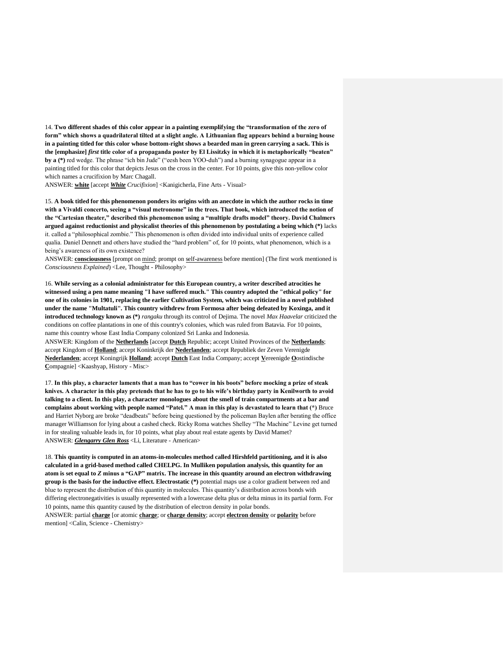14. **Two different shades of this color appear in a painting exemplifying the "transformation of the zero of form" which shows a quadrilateral tilted at a slight angle. A Lithuanian flag appears behind a burning house in a painting titled for this color whose bottom-right shows a bearded man in green carrying a sack. This is the [emphasize]** *first* **title color of a propaganda poster by El Lissitzky in which it is metaphorically "beaten" by a (\*)** red wedge. The phrase "ich bin Jude" ("eesh been YOO-duh") and a burning synagogue appear in a painting titled for this color that depicts Jesus on the cross in the center. For 10 points, give this non-yellow color which names a crucifixion by Marc Chagall.

ANSWER: **white** [accept *White Crucifixion*] <Kanigicherla, Fine Arts - Visual>

15. **A book titled for this phenomenon ponders its origins with an anecdote in which the author rocks in time with a Vivaldi concerto, seeing a "visual metronome" in the trees. That book, which introduced the notion of the "Cartesian theater," described this phenomenon using a "multiple drafts model" theory. David Chalmers argued against reductionist and physicalist theories of this phenomenon by postulating a being which (\*)** lacks it. called a "philosophical zombie." This phenomenon is often divided into individual units of experience called qualia. Daniel Dennett and others have studied the "hard problem" of, for 10 points, what phenomenon, which is a being's awareness of its own existence?

ANSWER: **consciousness** [prompt on mind; prompt on self-awareness before mention] (The first work mentioned is *Consciousness Explained*) <Lee, Thought - Philosophy>

16. **While serving as a colonial administrator for this European country, a writer described atrocities he witnessed using a pen name meaning "I have suffered much." This country adopted the "ethical policy" for one of its colonies in 1901, replacing the earlier Cultivation System, which was criticized in a novel published under the name "Multatuli". This country withdrew from Formosa after being defeated by Koxinga, and it introduced technology known as (\*)** *rangaku* through its control of Dejima. The novel *Max Haavelar* criticized the conditions on coffee plantations in one of this country's colonies, which was ruled from Batavia. For 10 points, name this country whose East India Company colonized Sri Lanka and Indonesia.

ANSWER: Kingdom of the **Netherlands** [accept **Dutch** Republic; accept United Provinces of the **Netherlands**; accept Kingdom of **Holland**; accept Koninkrijk der **Nederlanden**; accept Republiek der Zeven Verenigde **Nederlanden**; accept Koningrijk **Holland**; accept **Dutch** East India Company; accept **V**ereenigde **O**ostindische **C**ompagnie] <Kaashyap, History - Misc>

17. **In this play, a character laments that a man has to "cower in his boots" before mocking a prize of steak knives. A character in this play pretends that he has to go to his wife's birthday party in Kenilworth to avoid talking to a client. In this play, a character monologues about the smell of train compartments at a bar and complains about working with people named "Patel." A man in this play is devastated to learn that (\*)** Bruce and Harriet Nyborg are broke "deadbeats" before being questioned by the policeman Baylen after berating the office manager Williamson for lying about a cashed check. Ricky Roma watches Shelley "The Machine" Levine get turned in for stealing valuable leads in, for 10 points, what play about real estate agents by David Mamet? ANSWER: *Glengarry Glen Ross* <Li, Literature - American>

18. **This quantity is computed in an atoms-in-molecules method called Hirshfeld partitioning, and it is also calculated in a grid-based method called CHELPG. In Mulliken population analysis, this quantity for an atom is set equal to** *Z* **minus a "GAP" matrix. The increase in this quantity around an electron withdrawing group is the basis for the inductive effect. Electrostatic (\*)** potential maps use a color gradient between red and blue to represent the distribution of this quantity in molecules. This quantity's distribution across bonds with differing electronegativities is usually represented with a lowercase delta plus or delta minus in its partial form. For 10 points, name this quantity caused by the distribution of electron density in polar bonds. ANSWER: partial **charge** [or atomic **charge**; or **charge density**; accept **electron density** or **polarity** before mention] <Calin, Science - Chemistry>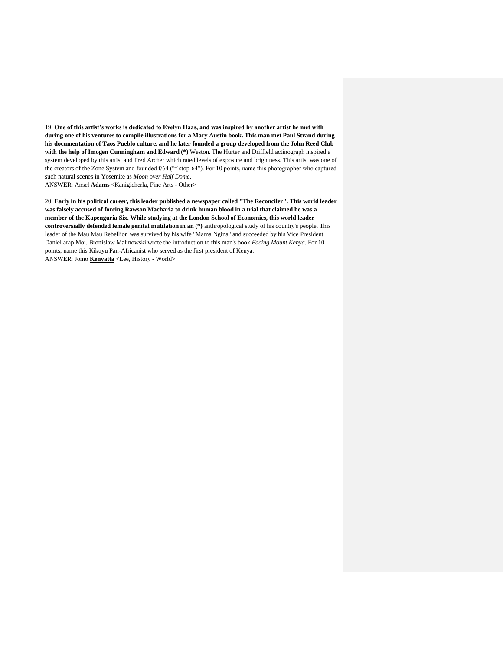19. **One of this artist's works is dedicated to Evelyn Haas, and was inspired by another artist he met with during one of his ventures to compile illustrations for a Mary Austin book. This man met Paul Strand during his documentation of Taos Pueblo culture, and he later founded a group developed from the John Reed Club with the help of Imogen Cunningham and Edward (\*)** Weston. The Hurter and Driffield actinograph inspired a system developed by this artist and Fred Archer which rated levels of exposure and brightness. This artist was one of the creators of the Zone System and founded f/64 ("f-stop-64"). For 10 points, name this photographer who captured such natural scenes in Yosemite as *Moon over Half Dome*. ANSWER: Ansel **Adams** <Kanigicherla, Fine Arts - Other>

20. **Early in his political career, this leader published a newspaper called "The Reconciler". This world leader was falsely accused of forcing Rawson Macharia to drink human blood in a trial that claimed he was a member of the Kapenguria Six. While studying at the London School of Economics, this world leader controversially defended female genital mutilation in an (\*)** anthropological study of his country's people. This leader of the Mau Mau Rebellion was survived by his wife "Mama Ngina" and succeeded by his Vice President Daniel arap Moi. Bronislaw Malinowski wrote the introduction to this man's book *Facing Mount Kenya*. For 10 points, name this Kikuyu Pan-Africanist who served as the first president of Kenya. ANSWER: Jomo **Kenyatta** <Lee, History - World>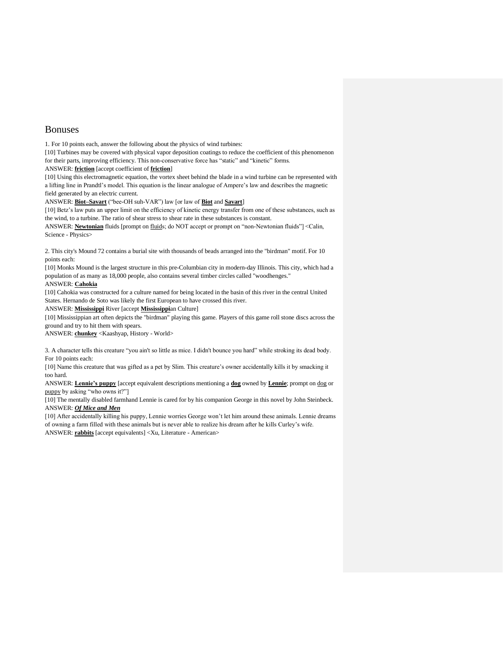# Bonuses

1. For 10 points each, answer the following about the physics of wind turbines:

[10] Turbines may be covered with physical vapor deposition coatings to reduce the coefficient of this phenomenon for their parts, improving efficiency. This non-conservative force has "static" and "kinetic" forms.

ANSWER: **friction** [accept coefficient of **friction**]

[10] Using this electromagnetic equation, the vortex sheet behind the blade in a wind turbine can be represented with a lifting line in Prandtl's model. This equation is the linear analogue of Ampere's law and describes the magnetic field generated by an electric current.

ANSWER: **Biot–Savart** ("bee-OH suh-VAR") law [or law of **Biot** and **Savart**]

[10] Betz's law puts an upper limit on the efficiency of kinetic energy transfer from one of these substances, such as the wind, to a turbine. The ratio of shear stress to shear rate in these substances is constant.

ANSWER: **Newtonian** fluids [prompt on fluids; do NOT accept or prompt on "non-Newtonian fluids"] <Calin, Science - Physics>

2. This city's Mound 72 contains a burial site with thousands of beads arranged into the "birdman" motif. For 10 points each:

[10] Monks Mound is the largest structure in this pre-Columbian city in modern-day Illinois. This city, which had a population of as many as 18,000 people, also contains several timber circles called "woodhenges."

## ANSWER: **Cahokia**

[10] Cahokia was constructed for a culture named for being located in the basin of this river in the central United States. Hernando de Soto was likely the first European to have crossed this river.

ANSWER: **Mississippi** River [accept **Mississippi**an Culture]

[10] Mississippian art often depicts the "birdman" playing this game. Players of this game roll stone discs across the ground and try to hit them with spears.

ANSWER: **chunkey** <Kaashyap, History - World>

3. A character tells this creature "you ain't so little as mice. I didn't bounce you hard" while stroking its dead body. For 10 points each:

[10] Name this creature that was gifted as a pet by Slim. This creature's owner accidentally kills it by smacking it too hard.

ANSWER: **Lennie's puppy** [accept equivalent descriptions mentioning a **dog** owned by **Lennie**; prompt on dog or puppy by asking "who owns it?"]

[10] The mentally disabled farmhand Lennie is cared for by his companion George in this novel by John Steinbeck. ANSWER: *Of Mice and Men*

[10] After accidentally killing his puppy, Lennie worries George won't let him around these animals. Lennie dreams of owning a farm filled with these animals but is never able to realize his dream after he kills Curley's wife. ANSWER: **rabbits** [accept equivalents] <Xu, Literature - American>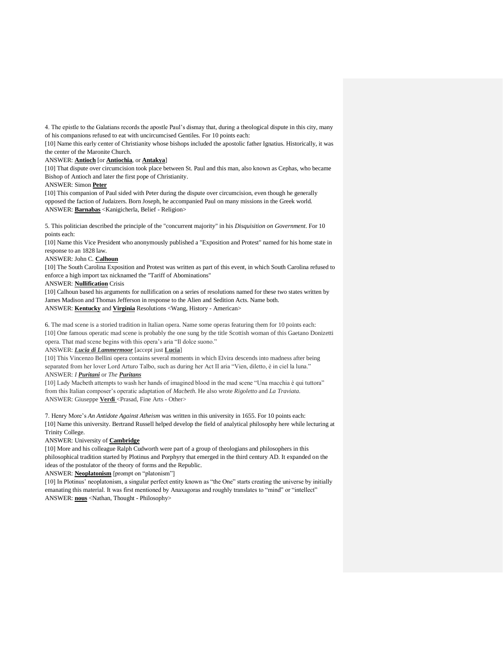4. The epistle to the Galatians records the apostle Paul's dismay that, during a theological dispute in this city, many of his companions refused to eat with uncircumcised Gentiles. For 10 points each:

[10] Name this early center of Christianity whose bishops included the apostolic father Ignatius. Historically, it was the center of the Maronite Church.

#### ANSWER: **Antioch** [or **Antiochia**, or **Antakya**]

[10] That dispute over circumcision took place between St. Paul and this man, also known as Cephas, who became Bishop of Antioch and later the first pope of Christianity.

ANSWER: Simon **Peter**

[10] This companion of Paul sided with Peter during the dispute over circumcision, even though he generally opposed the faction of Judaizers. Born Joseph, he accompanied Paul on many missions in the Greek world. ANSWER: **Barnabas** <Kanigicherla, Belief - Religion>

5. This politician described the principle of the "concurrent majority" in his *Disquisition on Government*. For 10 points each:

[10] Name this Vice President who anonymously published a "Exposition and Protest" named for his home state in response to an 1828 law.

#### ANSWER: John C. **Calhoun**

[10] The South Carolina Exposition and Protest was written as part of this event, in which South Carolina refused to enforce a high import tax nicknamed the "Tariff of Abominations"

ANSWER: **Nullification** Crisis

[10] Calhoun based his arguments for nullification on a series of resolutions named for these two states written by James Madison and Thomas Jefferson in response to the Alien and Sedition Acts. Name both. ANSWER: **Kentucky** and **Virginia** Resolutions <Wang, History - American>

6. The mad scene is a storied tradition in Italian opera. Name some operas featuring them for 10 points each: [10] One famous operatic mad scene is probably the one sung by the title Scottish woman of this Gaetano Donizetti opera. That mad scene begins with this opera's aria "Il dolce suono."

### ANSWER: *Lucia di Lammermoor* [accept just **Lucia**]

[10] This Vincenzo Bellini opera contains several moments in which Elvira descends into madness after being separated from her lover Lord Arturo Talbo, such as during her Act II aria "Vien, diletto, è in ciel la luna." ANSWER: *I Puritani* or *The Puritans*

[10] Lady Macbeth attempts to wash her hands of imagined blood in the mad scene "Una macchia è qui tuttora" from this Italian composer's operatic adaptation of *Macbeth*. He also wrote *Rigoletto* and *La Traviata*. ANSWER: Giuseppe Verdi <Prasad, Fine Arts - Other>

7. Henry More's *An Antidote Against Atheism* was written in this university in 1655. For 10 points each: [10] Name this university. Bertrand Russell helped develop the field of analytical philosophy here while lecturing at Trinity College.

## ANSWER: University of **Cambridge**

[10] More and his colleague Ralph Cudworth were part of a group of theologians and philosophers in this philosophical tradition started by Plotinus and Porphyry that emerged in the third century AD. It expanded on the ideas of the postulator of the theory of forms and the Republic.

ANSWER: **Neoplatonism** [prompt on "platonism"]

[10] In Plotinus' neoplatonism, a singular perfect entity known as "the One" starts creating the universe by initially emanating this material. It was first mentioned by Anaxagoras and roughly translates to "mind" or "intellect" ANSWER: **nous** <Nathan, Thought - Philosophy>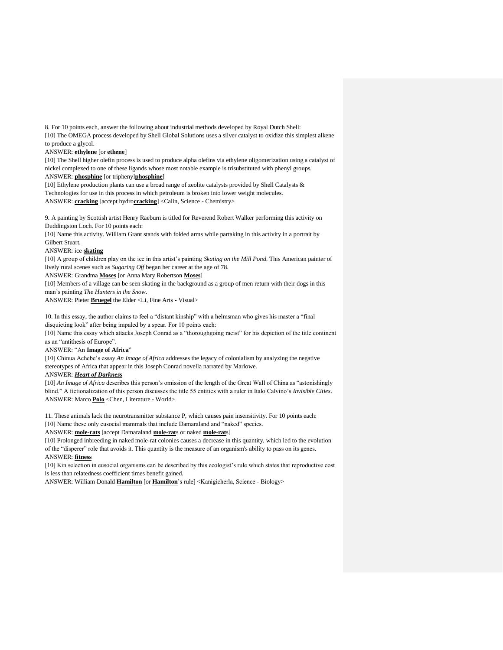8. For 10 points each, answer the following about industrial methods developed by Royal Dutch Shell: [10] The OMEGA process developed by Shell Global Solutions uses a silver catalyst to oxidize this simplest alkene to produce a glycol.

#### ANSWER: **ethylene** [or **ethene**]

[10] The Shell higher olefin process is used to produce alpha olefins via ethylene oligomerization using a catalyst of nickel complexed to one of these ligands whose most notable example is trisubstituted with phenyl groups.

ANSWER: **phosphine** [or triphenyl**phosphine**]

[10] Ethylene production plants can use a broad range of zeolite catalysts provided by Shell Catalysts & Technologies for use in this process in which petroleum is broken into lower weight molecules. ANSWER: **cracking** [accept hydro**cracking**] <Calin, Science - Chemistry>

9. A painting by Scottish artist Henry Raeburn is titled for Reverend Robert Walker performing this activity on Duddingston Loch. For 10 points each:

[10] Name this activity. William Grant stands with folded arms while partaking in this activity in a portrait by Gilbert Stuart.

### ANSWER: ice **skating**

[10] A group of children play on the ice in this artist's painting *Skating on the Mill Pond*. This American painter of lively rural scenes such as *Sugaring Off* began her career at the age of 78.

ANSWER: Grandma **Moses** [or Anna Mary Robertson **Moses**]

[10] Members of a village can be seen skating in the background as a group of men return with their dogs in this man's painting *The Hunters in the Snow*.

ANSWER: Pieter **Bruegel** the Elder <Li, Fine Arts - Visual>

10. In this essay, the author claims to feel a "distant kinship" with a helmsman who gives his master a "final disquieting look" after being impaled by a spear. For 10 points each:

[10] Name this essay which attacks Joseph Conrad as a "thoroughgoing racist" for his depiction of the title continent as an "antithesis of Europe".

## ANSWER: "An **Image of Africa**"

[10] Chinua Achebe's essay *An Image of Africa* addresses the legacy of colonialism by analyzing the negative stereotypes of Africa that appear in this Joseph Conrad novella narrated by Marlowe.

## ANSWER: *Heart of Darkness*

[10] *An Image of Africa* describes this person's omission of the length of the Great Wall of China as "astonishingly blind." A fictionalization of this person discusses the title 55 entities with a ruler in Italo Calvino's *Invisible Cities*. ANSWER: Marco **Polo** <Chen, Literature - World>

11. These animals lack the neurotransmitter substance P, which causes pain insensitivity. For 10 points each:

[10] Name these only eusocial mammals that include Damaraland and "naked" species.

ANSWER: **mole-rats** [accept Damaraland **mole-rat**s or naked **mole-rat**s]

[10] Prolonged inbreeding in naked mole-rat colonies causes a decrease in this quantity, which led to the evolution of the "disperer" role that avoids it. This quantity is the measure of an organism's ability to pass on its genes. ANSWER: **fitness**

[10] Kin selection in eusocial organisms can be described by this ecologist's rule which states that reproductive cost is less than relatedness coefficient times benefit gained.

ANSWER: William Donald **Hamilton** [or **Hamilton**'s rule] <Kanigicherla, Science - Biology>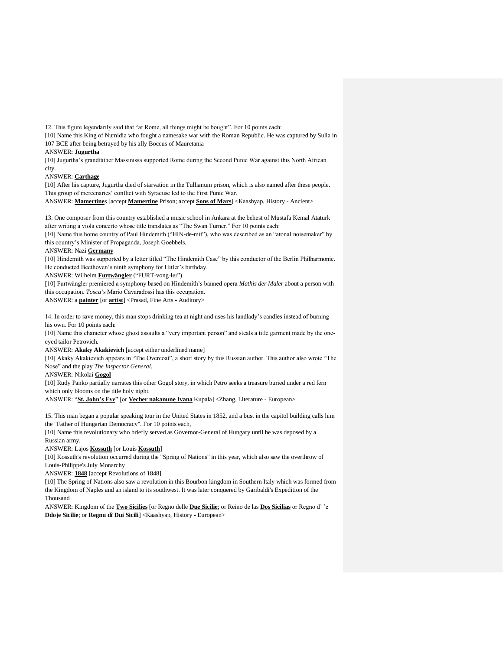12. This figure legendarily said that "at Rome, all things might be bought". For 10 points each:

[10] Name this King of Numidia who fought a namesake war with the Roman Republic. He was captured by Sulla in 107 BCE after being betrayed by his ally Boccus of Mauretania

ANSWER: **Jugurtha**

[10] Jugurtha's grandfather Massinissa supported Rome during the Second Punic War against this North African city.

ANSWER: **Carthage**

[10] After his capture, Jugurtha died of starvation in the Tullianum prison, which is also named after these people. This group of mercenaries' conflict with Syracuse led to the First Punic War.

ANSWER: **Mamertine**s [accept **Mamertine** Prison; accept **Sons of Mars**] <Kaashyap, History - Ancient>

13. One composer from this country established a music school in Ankara at the behest of Mustafa Kemal Ataturk after writing a viola concerto whose title translates as "The Swan Turner." For 10 points each:

[10] Name this home country of Paul Hindemith ("HIN-de-mit"), who was described as an "atonal noisemaker" by this country's Minister of Propaganda, Joseph Goebbels.

ANSWER: Nazi **Germany**

[10] Hindemith was supported by a letter titled "The Hindemith Case" by this conductor of the Berlin Philharmonic. He conducted Beethoven's ninth symphony for Hitler's birthday.

ANSWER: Wilhelm **Furtwängler** ("FURT-vong-ler")

[10] Furtwängler premiered a symphony based on Hindemith's banned opera *Mathis der Maler* about a person with this occupation. *Tosca*'s Mario Cavaradossi has this occupation.

ANSWER: a **painter** [or **artist**] <Prasad, Fine Arts - Auditory>

14. In order to save money, this man stops drinking tea at night and uses his landlady's candles instead of burning his own. For 10 points each:

[10] Name this character whose ghost assaults a "very important person" and steals a title garment made by the oneeyed tailor Petrovich.

ANSWER: **Akaky Akakievich** [accept either underlined name]

[10] Akaky Akakievich appears in "The Overcoat", a short story by this Russian author. This author also wrote "The Nose" and the play *The Inspector General*.

ANSWER: Nikolai **Gogol**

[10] Rudy Panko partially narrates this other Gogol story, in which Petro seeks a treasure buried under a red fern which only blooms on the title holy night.

ANSWER: "**St. John's Eve**" [or **Vecher nakanune Ivana** Kupala] <Zhang, Literature - European>

15. This man began a popular speaking tour in the United States in 1852, and a bust in the capitol building calls him the "Father of Hungarian Democracy". For 10 points each,

[10] Name this revolutionary who briefly served as Governor-General of Hungary until he was deposed by a Russian army.

ANSWER: Lajos **Kossuth** [or Louis **Kossuth**]

[10] Kossuth's revolution occurred during the "Spring of Nations" in this year, which also saw the overthrow of Louis-Philippe's July Monarchy

ANSWER: **1848** [accept Revolutions of 1848]

[10] The Spring of Nations also saw a revolution in this Bourbon kingdom in Southern Italy which was formed from the Kingdom of Naples and an island to its southwest. It was later conquered by Garibaldi's Expedition of the Thousand

ANSWER: Kingdom of the **Two Sicilies** [or Regno delle **Due Sicilie**; or Reino de las **Dos Sicilias** or Regno d' 'e **Ddoje Sicilie**; or **Regnu dî Dui Sicili**] <Kaashyap, History - European>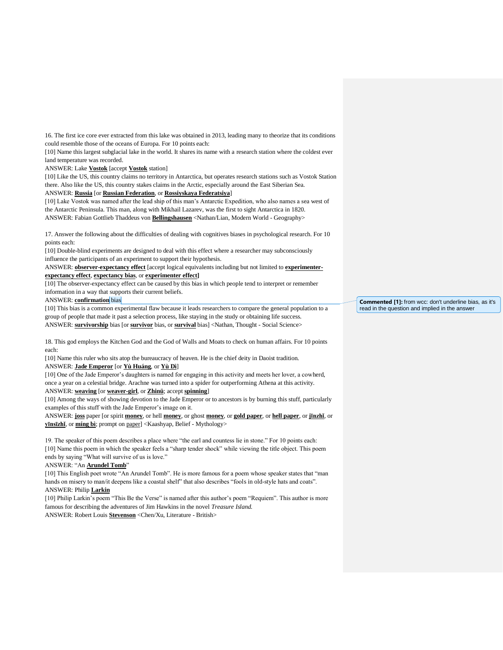16. The first ice core ever extracted from this lake was obtained in 2013, leading many to theorize that its conditions could resemble those of the oceans of Europa. For 10 points each:

[10] Name this largest subglacial lake in the world. It shares its name with a research station where the coldest ever land temperature was recorded.

ANSWER: Lake **Vostok** [accept **Vostok** station]

[10] Like the US, this country claims no territory in Antarctica, but operates research stations such as Vostok Station there. Also like the US, this country stakes claims in the Arctic, especially around the East Siberian Sea.

ANSWER: **Russia** [or **Russian Federation**, or **Rossiyskaya Federatsiya**]

[10] Lake Vostok was named after the lead ship of this man's Antarctic Expedition, who also names a sea west of the Antarctic Peninsula. This man, along with Mikhail Lazarev, was the first to sight Antarctica in 1820. ANSWER: Fabian Gottlieb Thaddeus von **Bellingshausen** <Nathan/Lian, Modern World - Geography>

17. Answer the following about the difficulties of dealing with cognitives biases in psychological research. For 10 points each:

[10] Double-blind experiments are designed to deal with this effect where a researcher may subconsciously influence the participants of an experiment to support their hypothesis.

ANSWER: **observer-expectancy effect** [accept logical equivalents including but not limited to **experimenterexpectancy effect**, **expectancy bias**, or **experimenter effect]**

[10] The observer-expectancy effect can be caused by this bias in which people tend to interpret or remember information in a way that supports their current beliefs.

ANSWER: **confirmation** bias

[10] This bias is a common experimental flaw because it leads researchers to compare the general population to a group of people that made it past a selection process, like staying in the study or obtaining life success. ANSWER: **survivorship** bias [or **survivor** bias, or **survival** bias] <Nathan, Thought - Social Science>

18. This god employs the Kitchen God and the God of Walls and Moats to check on human affairs. For 10 points each:

[10] Name this ruler who sits atop the bureaucracy of heaven. He is the chief deity in Daoist tradition.

## ANSWER: **Jade Emperor** [or **Yù Huáng**, or **Yù Dì**]

[10] One of the Jade Emperor's daughters is named for engaging in this activity and meets her lover, a cowherd, once a year on a celestial bridge. Arachne was turned into a spider for outperforming Athena at this activity.

ANSWER: **weaving** [or **weaver-girl**, or **Zhinü**; accept **spinning**]

[10] Among the ways of showing devotion to the Jade Emperor or to ancestors is by burning this stuff, particularly examples of this stuff with the Jade Emperor's image on it.

ANSWER: **joss** paper [or spirit **money**, or hell **money**, or ghost **money**, or **gold paper**, or **hell paper**, or **jīnzhǐ**, or **yīnsīzhǐ**, or **míng bì**; prompt on paper] <Kaashyap, Belief - Mythology>

19. The speaker of this poem describes a place where "the earl and countess lie in stone." For 10 points each: [10] Name this poem in which the speaker feels a "sharp tender shock" while viewing the title object. This poem ends by saying "What will survive of us is love."

### ANSWER: "An **Arundel Tomb**"

[10] This English poet wrote "An Arundel Tomb". He is more famous for a poem whose speaker states that "man hands on misery to man/it deepens like a coastal shelf' that also describes "fools in old-style hats and coats". ANSWER: Philip **Larkin** 

[10] Philip Larkin's poem "This Be the Verse" is named after this author's poem "Requiem". This author is more famous for describing the adventures of Jim Hawkins in the novel *Treasure Island.* ANSWER: Robert Louis **Stevenson** <Chen/Xu, Literature - British>

**Commented [1]:** from wcc: don't underline bias, as it's read in the question and implied in the answer